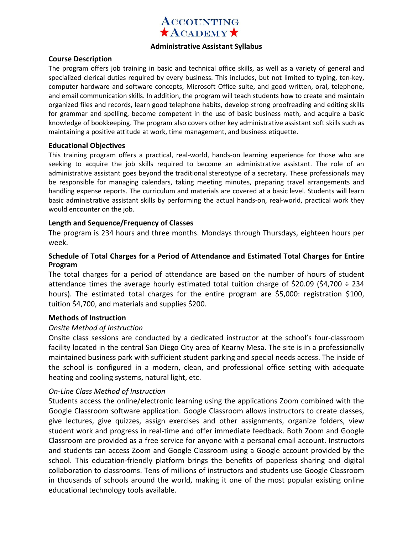

#### **Administrative Assistant Syllabus**

#### **Course Description**

The program offers job training in basic and technical office skills, as well as a variety of general and specialized clerical duties required by every business. This includes, but not limited to typing, ten-key, computer hardware and software concepts, Microsoft Office suite, and good written, oral, telephone, and email communication skills. In addition, the program will teach students how to create and maintain organized files and records, learn good telephone habits, develop strong proofreading and editing skills for grammar and spelling, become competent in the use of basic business math, and acquire a basic knowledge of bookkeeping. The program also covers other key administrative assistant soft skills such as maintaining a positive attitude at work, time management, and business etiquette.

#### **Educational Objectives**

This training program offers a practical, real-world, hands-on learning experience for those who are seeking to acquire the job skills required to become an administrative assistant. The role of an administrative assistant goes beyond the traditional stereotype of a secretary. These professionals may be responsible for managing calendars, taking meeting minutes, preparing travel arrangements and handling expense reports. The curriculum and materials are covered at a basic level. Students will learn basic administrative assistant skills by performing the actual hands-on, real-world, practical work they would encounter on the job.

#### **Length and Sequence/Frequency of Classes**

The program is 234 hours and three months. Mondays through Thursdays, eighteen hours per week.

# **Schedule of Total Charges for a Period of Attendance and Estimated Total Charges for Entire Program**

The total charges for a period of attendance are based on the number of hours of student attendance times the average hourly estimated total tuition charge of \$20.09 (\$4,700  $\div$  234 hours). The estimated total charges for the entire program are \$5,000: registration \$100, tuition \$4,700, and materials and supplies \$200.

# **Methods of Instruction**

# *Onsite Method of Instruction*

Onsite class sessions are conducted by a dedicated instructor at the school's four-classroom facility located in the central San Diego City area of Kearny Mesa. The site is in a professionally maintained business park with sufficient student parking and special needs access. The inside of the school is configured in a modern, clean, and professional office setting with adequate heating and cooling systems, natural light, etc.

# *On-Line Class Method of Instruction*

Students access the online/electronic learning using the applications Zoom combined with the Google Classroom software application. Google Classroom allows instructors to create classes, give lectures, give quizzes, assign exercises and other assignments, organize folders, view student work and progress in real-time and offer immediate feedback. Both Zoom and Google Classroom are provided as a free service for anyone with a personal email account. Instructors and students can access Zoom and Google Classroom using a Google account provided by the school. This education-friendly platform brings the benefits of paperless sharing and digital collaboration to classrooms. Tens of millions of instructors and students use Google Classroom in thousands of schools around the world, making it one of the most popular existing online educational technology tools available.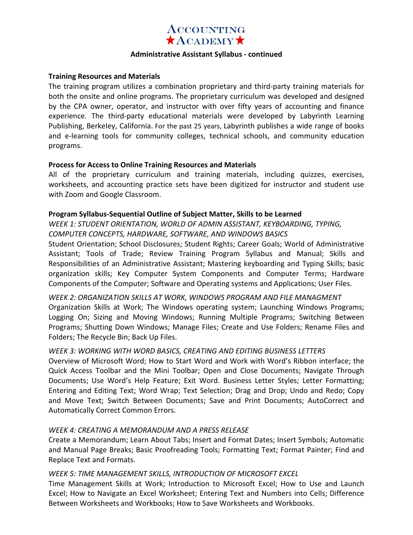

#### **Administrative Assistant Syllabus - continued**

#### **Training Resources and Materials**

The training program utilizes a combination proprietary and third-party training materials for both the onsite and online programs. The proprietary curriculum was developed and designed by the CPA owner, operator, and instructor with over fifty years of accounting and finance experience. The third-party educational materials were developed by Labyrinth Learning Publishing, BerkeIey, California. For the past 25 years, Labyrinth publishes a wide range of books and e-learning tools for community colleges, technical schools, and community education programs.

#### **Process for Access to Online Training Resources and Materials**

All of the proprietary curriculum and training materials, including quizzes, exercises, worksheets, and accounting practice sets have been digitized for instructor and student use with Zoom and Google Classroom.

#### **Program Syllabus-Sequential Outline of Subject Matter, Skills to be Learned**

*WEEK 1: STUDENT ORIENTATION, WORLD OF ADMIN ASSISTANT, KEYBOARDING, TYPING, COMPUTER CONCEPTS, HARDWARE, SOFTWARE, AND WINDOWS BASICS* 

Student Orientation; School Disclosures; Student Rights; Career Goals; World of Administrative Assistant; Tools of Trade; Review Training Program Syllabus and Manual; Skills and Responsibilities of an Administrative Assistant; Mastering keyboarding and Typing Skills; basic organization skills; Key Computer System Components and Computer Terms; Hardware Components of the Computer; Software and Operating systems and Applications; User Files.

*WEEK 2: ORGANIZATION SKILLS AT WORK, WINDOWS PROGRAM AND FILE MANAGMENT*  Organization Skills at Work; The Windows operating system; Launching Windows Programs; Logging On; Sizing and Moving Windows; Running Multiple Programs; Switching Between Programs; Shutting Down Windows; Manage Files; Create and Use Folders; Rename Files and Folders; The Recycle Bin; Back Up Files.

# *WEEK 3: WORKING WITH WORD BASICS, CREATING AND EDITING BUSINESS LETTERS*

Overview of Microsoft Word; How to Start Word and Work with Word's Ribbon interface; the Quick Access Toolbar and the Mini Toolbar; Open and Close Documents; Navigate Through Documents; Use Word's Help Feature; Exit Word. Business Letter Styles; Letter Formatting; Entering and Editing Text; Word Wrap; Text Selection; Drag and Drop; Undo and Redo; Copy and Move Text; Switch Between Documents; Save and Print Documents; AutoCorrect and Automatically Correct Common Errors.

# *WEEK 4: CREATING A MEMORANDUM AND A PRESS RELEASE*

Create a Memorandum; Learn About Tabs; Insert and Format Dates; Insert Symbols; Automatic and Manual Page Breaks; Basic Proofreading Tools; Formatting Text; Format Painter; Find and Replace Text and Formats.

# *WEEK 5: TIME MANAGEMENT SKILLS, INTRODUCTION OF MICROSOFT EXCEL*

Time Management Skills at Work; Introduction to Microsoft Excel; How to Use and Launch Excel; How to Navigate an Excel Worksheet; Entering Text and Numbers into Cells; Difference Between Worksheets and Workbooks; How to Save Worksheets and Workbooks.